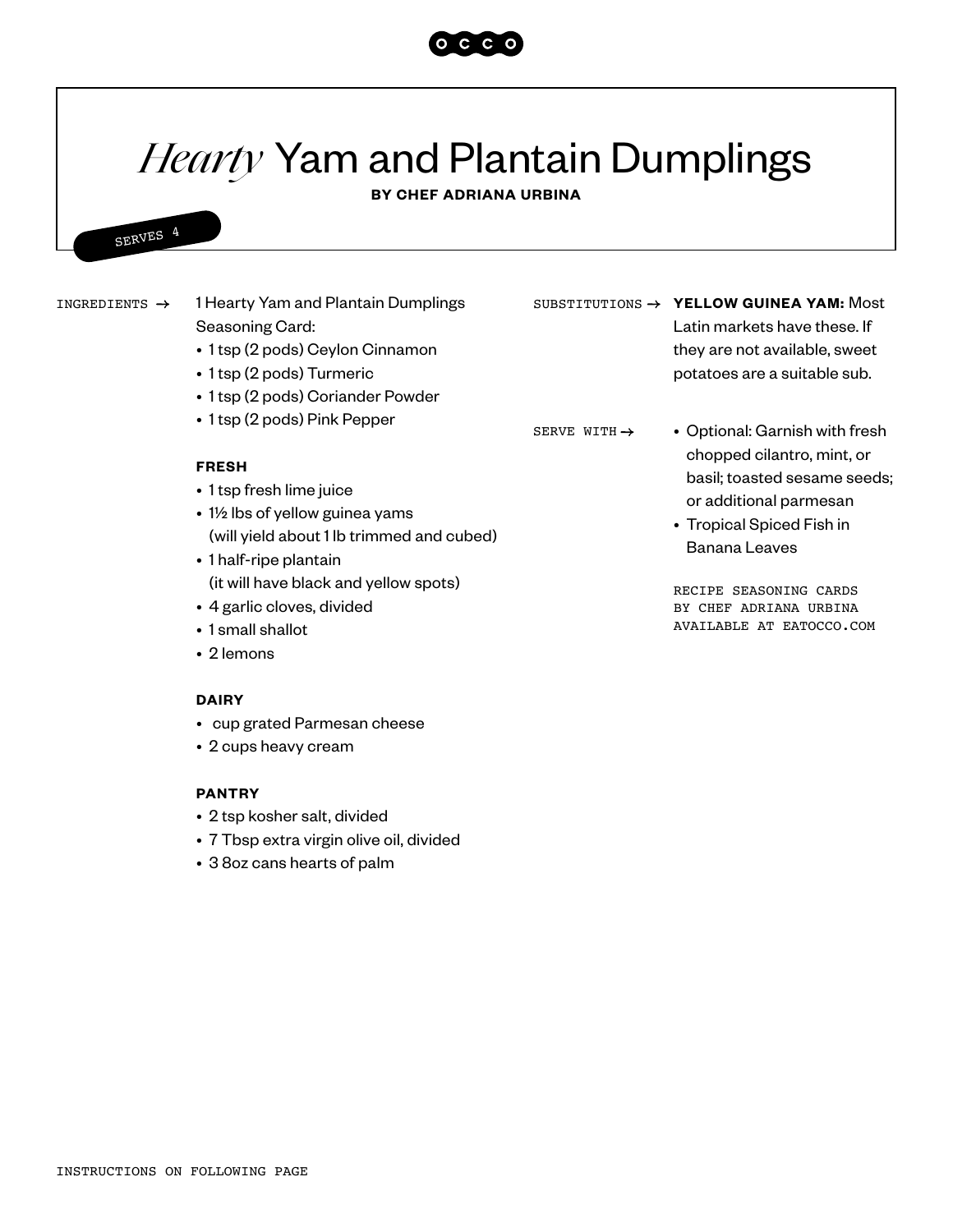

# *Hearty* Yam and Plantain Dumplings

**BY CHEF ADRIANA URBINA**

## SERVES 4

1 Hearty Yam and Plantain Dumplings Seasoning Card: INGREDIENTS > 1 Hearty Yam and Plantain Dumplings SUBSTITUTIONS > YELLOW GUINEA YAM: Most

- 1 tsp (2 pods) Ceylon Cinnamon
- 1 tsp (2 pods) Turmeric
- 1 tsp (2 pods) Coriander Powder
- 1 tsp (2 pods) Pink Pepper

#### **FRESH**

- 1 tsp fresh lime juice
- 1½ lbs of yellow guinea yams (will yield about 1 lb trimmed and cubed)
- 1 half-ripe plantain (it will have black and yellow spots)
- 4 garlic cloves, divided
- 1 small shallot
- 2 lemons

#### **DAIRY**

- cup grated Parmesan cheese
- 2 cups heavy cream

#### **PANTRY**

- 2 tsp kosher salt, divided
- 7 Tbsp extra virgin olive oil, divided
- 3 8oz cans hearts of palm

Latin markets have these. If they are not available, sweet potatoes are a suitable sub.

SERVE WITH  $\rightarrow$ 

- Optional: Garnish with fresh chopped cilantro, mint, or basil; toasted sesame seeds; or additional parmesan
- Tropical Spiced Fish in Banana Leaves

RECIPE SEASONING CARDS BY CHEF ADRIANA URBINA AVAILABLE AT EATOCCO.COM